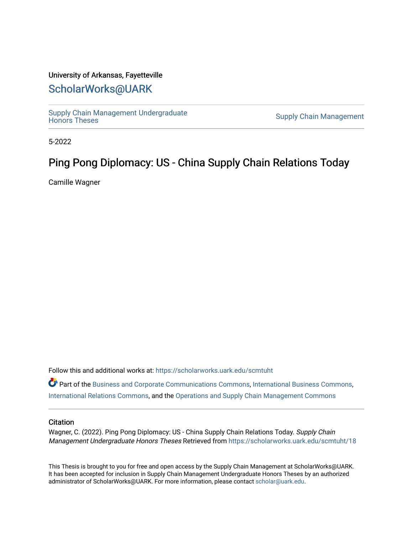### University of Arkansas, Fayetteville

## [ScholarWorks@UARK](https://scholarworks.uark.edu/)

Supply Chain Management Undergraduate<br>Honors Theses

**Supply Chain Management** 

5-2022

# Ping Pong Diplomacy: US - China Supply Chain Relations Today

Camille Wagner

Follow this and additional works at: [https://scholarworks.uark.edu/scmtuht](https://scholarworks.uark.edu/scmtuht?utm_source=scholarworks.uark.edu%2Fscmtuht%2F18&utm_medium=PDF&utm_campaign=PDFCoverPages) 

Part of the [Business and Corporate Communications Commons](http://network.bepress.com/hgg/discipline/627?utm_source=scholarworks.uark.edu%2Fscmtuht%2F18&utm_medium=PDF&utm_campaign=PDFCoverPages), [International Business Commons](http://network.bepress.com/hgg/discipline/634?utm_source=scholarworks.uark.edu%2Fscmtuht%2F18&utm_medium=PDF&utm_campaign=PDFCoverPages), [International Relations Commons](http://network.bepress.com/hgg/discipline/389?utm_source=scholarworks.uark.edu%2Fscmtuht%2F18&utm_medium=PDF&utm_campaign=PDFCoverPages), and the [Operations and Supply Chain Management Commons](http://network.bepress.com/hgg/discipline/1229?utm_source=scholarworks.uark.edu%2Fscmtuht%2F18&utm_medium=PDF&utm_campaign=PDFCoverPages)

#### **Citation**

Wagner, C. (2022). Ping Pong Diplomacy: US - China Supply Chain Relations Today. Supply Chain Management Undergraduate Honors Theses Retrieved from [https://scholarworks.uark.edu/scmtuht/18](https://scholarworks.uark.edu/scmtuht/18?utm_source=scholarworks.uark.edu%2Fscmtuht%2F18&utm_medium=PDF&utm_campaign=PDFCoverPages)

This Thesis is brought to you for free and open access by the Supply Chain Management at ScholarWorks@UARK. It has been accepted for inclusion in Supply Chain Management Undergraduate Honors Theses by an authorized administrator of ScholarWorks@UARK. For more information, please contact [scholar@uark.edu](mailto:scholar@uark.edu).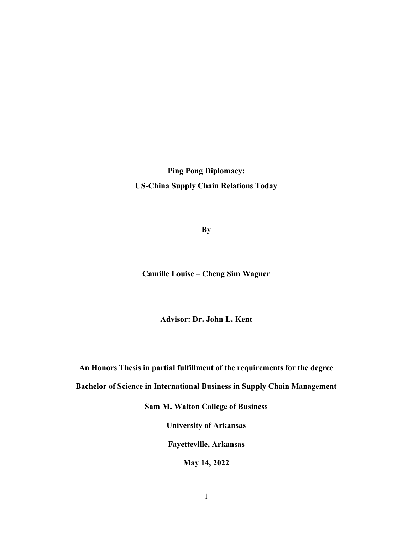Ping Pong Diplomacy: US-China Supply Chain Relations Today

**By** 

Camille Louise – Cheng Sim Wagner

Advisor: Dr. John L. Kent

An Honors Thesis in partial fulfillment of the requirements for the degree

Bachelor of Science in International Business in Supply Chain Management

Sam M. Walton College of Business

University of Arkansas

Fayetteville, Arkansas

May 14, 2022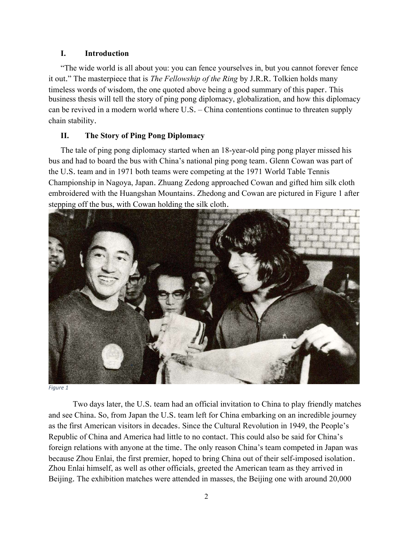### I. Introduction

"The wide world is all about you: you can fence yourselves in, but you cannot forever fence it out." The masterpiece that is *The Fellowship of the Ring* by J.R.R. Tolkien holds many timeless words of wisdom, the one quoted above being a good summary of this paper. This business thesis will tell the story of ping pong diplomacy, globalization, and how this diplomacy can be revived in a modern world where U.S. – China contentions continue to threaten supply chain stability.

### II. The Story of Ping Pong Diplomacy

The tale of ping pong diplomacy started when an 18-year-old ping pong player missed his bus and had to board the bus with China's national ping pong team. Glenn Cowan was part of the U.S. team and in 1971 both teams were competing at the 1971 World Table Tennis Championship in Nagoya, Japan. Zhuang Zedong approached Cowan and gifted him silk cloth embroidered with the Huangshan Mountains. Zhedong and Cowan are pictured in Figure 1 after stepping off the bus, with Cowan holding the silk cloth.



Figure 1

 Two days later, the U.S. team had an official invitation to China to play friendly matches and see China. So, from Japan the U.S. team left for China embarking on an incredible journey as the first American visitors in decades. Since the Cultural Revolution in 1949, the People's Republic of China and America had little to no contact. This could also be said for China's foreign relations with anyone at the time. The only reason China's team competed in Japan was because Zhou Enlai, the first premier, hoped to bring China out of their self-imposed isolation. Zhou Enlai himself, as well as other officials, greeted the American team as they arrived in Beijing. The exhibition matches were attended in masses, the Beijing one with around 20,000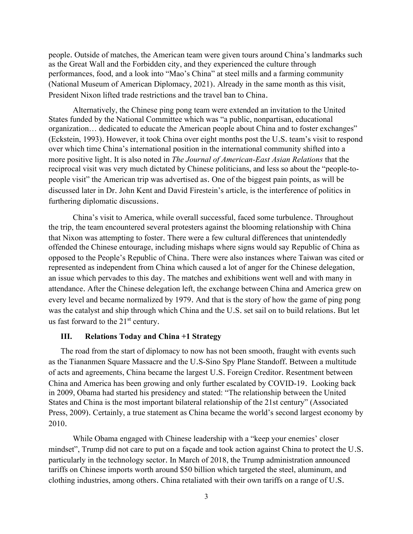people. Outside of matches, the American team were given tours around China's landmarks such as the Great Wall and the Forbidden city, and they experienced the culture through performances, food, and a look into "Mao's China" at steel mills and a farming community (National Museum of American Diplomacy, 2021). Already in the same month as this visit, President Nixon lifted trade restrictions and the travel ban to China.

 Alternatively, the Chinese ping pong team were extended an invitation to the United States funded by the National Committee which was "a public, nonpartisan, educational organization… dedicated to educate the American people about China and to foster exchanges" (Eckstein, 1993). However, it took China over eight months post the U.S. team's visit to respond over which time China's international position in the international community shifted into a more positive light. It is also noted in The Journal of American-East Asian Relations that the reciprocal visit was very much dictated by Chinese politicians, and less so about the "people-topeople visit" the American trip was advertised as. One of the biggest pain points, as will be discussed later in Dr. John Kent and David Firestein's article, is the interference of politics in furthering diplomatic discussions.

 China's visit to America, while overall successful, faced some turbulence. Throughout the trip, the team encountered several protesters against the blooming relationship with China that Nixon was attempting to foster. There were a few cultural differences that unintendedly offended the Chinese entourage, including mishaps where signs would say Republic of China as opposed to the People's Republic of China. There were also instances where Taiwan was cited or represented as independent from China which caused a lot of anger for the Chinese delegation, an issue which pervades to this day. The matches and exhibitions went well and with many in attendance. After the Chinese delegation left, the exchange between China and America grew on every level and became normalized by 1979. And that is the story of how the game of ping pong was the catalyst and ship through which China and the U.S. set sail on to build relations. But let us fast forward to the  $21<sup>st</sup>$  century.

#### III. Relations Today and China +1 Strategy

The road from the start of diplomacy to now has not been smooth, fraught with events such as the Tiananmen Square Massacre and the U.S-Sino Spy Plane Standoff. Between a multitude of acts and agreements, China became the largest U.S. Foreign Creditor. Resentment between China and America has been growing and only further escalated by COVID-19. Looking back in 2009, Obama had started his presidency and stated: "The relationship between the United States and China is the most important bilateral relationship of the 21st century" (Associated Press, 2009). Certainly, a true statement as China became the world's second largest economy by 2010.

 While Obama engaged with Chinese leadership with a "keep your enemies' closer mindset", Trump did not care to put on a façade and took action against China to protect the U.S. particularly in the technology sector. In March of 2018, the Trump administration announced tariffs on Chinese imports worth around \$50 billion which targeted the steel, aluminum, and clothing industries, among others. China retaliated with their own tariffs on a range of U.S.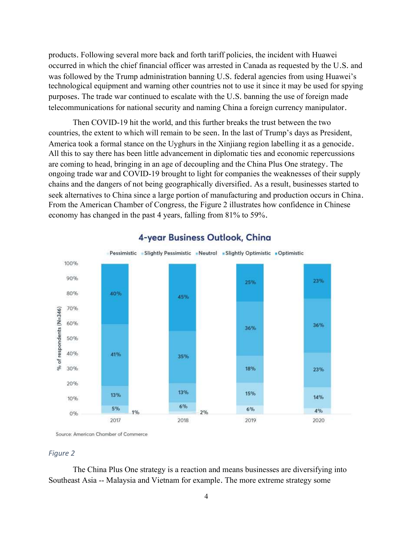products. Following several more back and forth tariff policies, the incident with Huawei occurred in which the chief financial officer was arrested in Canada as requested by the U.S. and was followed by the Trump administration banning U.S. federal agencies from using Huawei's technological equipment and warning other countries not to use it since it may be used for spying purposes. The trade war continued to escalate with the U.S. banning the use of foreign made telecommunications for national security and naming China a foreign currency manipulator.

 Then COVID-19 hit the world, and this further breaks the trust between the two countries, the extent to which will remain to be seen. In the last of Trump's days as President, America took a formal stance on the Uyghurs in the Xinjiang region labelling it as a genocide. All this to say there has been little advancement in diplomatic ties and economic repercussions are coming to head, bringing in an age of decoupling and the China Plus One strategy. The ongoing trade war and COVID-19 brought to light for companies the weaknesses of their supply chains and the dangers of not being geographically diversified. As a result, businesses started to seek alternatives to China since a large portion of manufacturing and production occurs in China. From the American Chamber of Congress, the Figure 2 illustrates how confidence in Chinese economy has changed in the past 4 years, falling from 81% to 59%.



### 4-year Business Outlook, China

Source: American Chamber of Commerce

#### Figure 2

The China Plus One strategy is a reaction and means businesses are diversifying into Southeast Asia -- Malaysia and Vietnam for example. The more extreme strategy some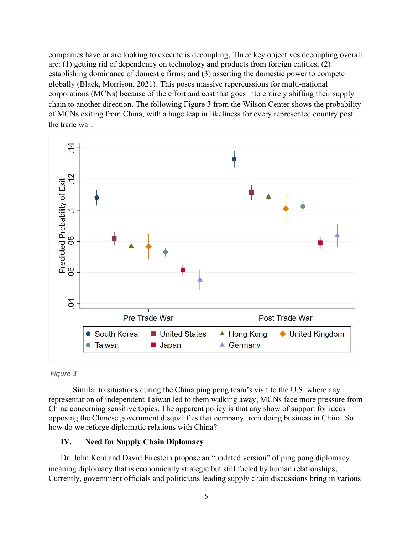companies have or are looking to execute is decoupling. Three key objectives decoupling overall are: (1) getting rid of dependency on technology and products from foreign entities; (2) establishing dominance of domestic firms; and (3) asserting the domestic power to compete globally (Black, Morrison, 2021). This poses massive repercussions for multi-national corporations (MCNs) because of the effort and cost that goes into entirely shifting their supply chain to another direction. The following Figure 3 from the Wilson Center shows the probability of MCNs exiting from China, with a huge leap in likeliness for every represented country post the trade war.



#### Figure 3

 Similar to situations during the China ping pong team's visit to the U.S. where any representation of independent Taiwan led to them walking away, MCNs face more pressure from China concerning sensitive topics. The apparent policy is that any show of support for ideas opposing the Chinese government disqualifies that company from doing business in China. So how do we reforge diplomatic relations with China?

#### IV. Need for Supply Chain Diplomacy

Dr. John Kent and David Firestein propose an "updated version" of ping pong diplomacy meaning diplomacy that is economically strategic but still fueled by human relationships. Currently, government officials and politicians leading supply chain discussions bring in various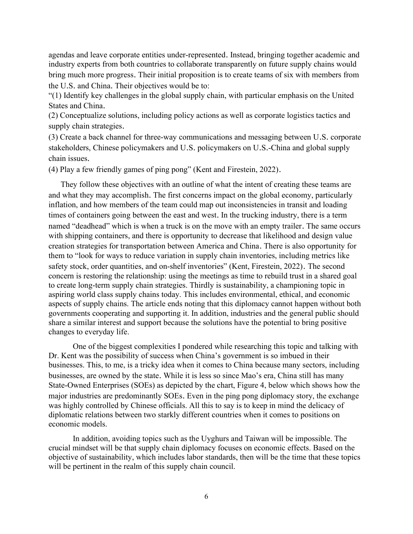agendas and leave corporate entities under-represented. Instead, bringing together academic and industry experts from both countries to collaborate transparently on future supply chains would bring much more progress. Their initial proposition is to create teams of six with members from the U.S. and China. Their objectives would be to:

"(1) Identify key challenges in the global supply chain, with particular emphasis on the United States and China.

(2) Conceptualize solutions, including policy actions as well as corporate logistics tactics and supply chain strategies.

(3) Create a back channel for three-way communications and messaging between U.S. corporate stakeholders, Chinese policymakers and U.S. policymakers on U.S.-China and global supply chain issues.

(4) Play a few friendly games of ping pong" (Kent and Firestein, 2022).

They follow these objectives with an outline of what the intent of creating these teams are and what they may accomplish. The first concerns impact on the global economy, particularly inflation, and how members of the team could map out inconsistencies in transit and loading times of containers going between the east and west. In the trucking industry, there is a term named "deadhead" which is when a truck is on the move with an empty trailer. The same occurs with shipping containers, and there is opportunity to decrease that likelihood and design value creation strategies for transportation between America and China. There is also opportunity for them to "look for ways to reduce variation in supply chain inventories, including metrics like safety stock, order quantities, and on-shelf inventories" (Kent, Firestein, 2022). The second concern is restoring the relationship: using the meetings as time to rebuild trust in a shared goal to create long-term supply chain strategies. Thirdly is sustainability, a championing topic in aspiring world class supply chains today. This includes environmental, ethical, and economic aspects of supply chains. The article ends noting that this diplomacy cannot happen without both governments cooperating and supporting it. In addition, industries and the general public should share a similar interest and support because the solutions have the potential to bring positive changes to everyday life.

 One of the biggest complexities I pondered while researching this topic and talking with Dr. Kent was the possibility of success when China's government is so imbued in their businesses. This, to me, is a tricky idea when it comes to China because many sectors, including businesses, are owned by the state. While it is less so since Mao's era, China still has many State-Owned Enterprises (SOEs) as depicted by the chart, Figure 4, below which shows how the major industries are predominantly SOEs. Even in the ping pong diplomacy story, the exchange was highly controlled by Chinese officials. All this to say is to keep in mind the delicacy of diplomatic relations between two starkly different countries when it comes to positions on economic models.

 In addition, avoiding topics such as the Uyghurs and Taiwan will be impossible. The crucial mindset will be that supply chain diplomacy focuses on economic effects. Based on the objective of sustainability, which includes labor standards, then will be the time that these topics will be pertinent in the realm of this supply chain council.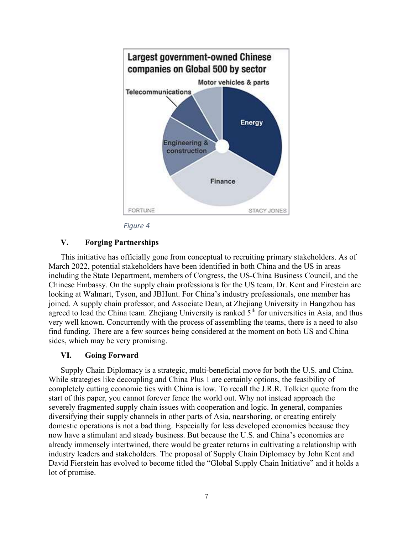



### V. Forging Partnerships

This initiative has officially gone from conceptual to recruiting primary stakeholders. As of March 2022, potential stakeholders have been identified in both China and the US in areas including the State Department, members of Congress, the US-China Business Council, and the Chinese Embassy. On the supply chain professionals for the US team, Dr. Kent and Firestein are looking at Walmart, Tyson, and JBHunt. For China's industry professionals, one member has joined. A supply chain professor, and Associate Dean, at Zhejiang University in Hangzhou has agreed to lead the China team. Zhejiang University is ranked  $5<sup>th</sup>$  for universities in Asia, and thus very well known. Concurrently with the process of assembling the teams, there is a need to also find funding. There are a few sources being considered at the moment on both US and China sides, which may be very promising.

### VI. Going Forward

Supply Chain Diplomacy is a strategic, multi-beneficial move for both the U.S. and China. While strategies like decoupling and China Plus 1 are certainly options, the feasibility of completely cutting economic ties with China is low. To recall the J.R.R. Tolkien quote from the start of this paper, you cannot forever fence the world out. Why not instead approach the severely fragmented supply chain issues with cooperation and logic. In general, companies diversifying their supply channels in other parts of Asia, nearshoring, or creating entirely domestic operations is not a bad thing. Especially for less developed economies because they now have a stimulant and steady business. But because the U.S. and China's economies are already immensely intertwined, there would be greater returns in cultivating a relationship with industry leaders and stakeholders. The proposal of Supply Chain Diplomacy by John Kent and David Fierstein has evolved to become titled the "Global Supply Chain Initiative" and it holds a lot of promise.